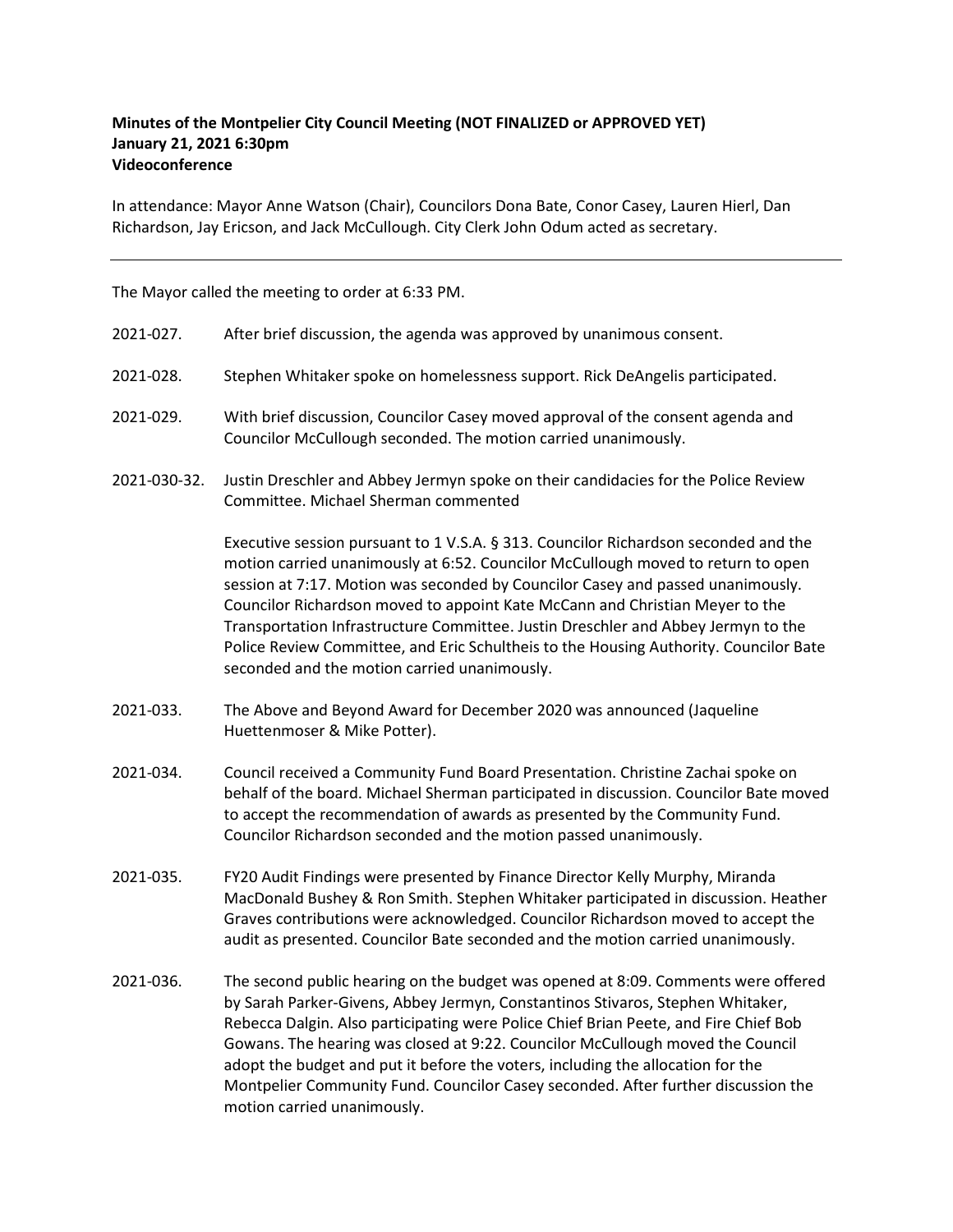## Minutes of the Montpelier City Council Meeting (NOT FINALIZED or APPROVED YET) January 21, 2021 6:30pm Videoconference

In attendance: Mayor Anne Watson (Chair), Councilors Dona Bate, Conor Casey, Lauren Hierl, Dan Richardson, Jay Ericson, and Jack McCullough. City Clerk John Odum acted as secretary.

The Mayor called the meeting to order at 6:33 PM.

- 2021-027. After brief discussion, the agenda was approved by unanimous consent.
- 2021‐028. Stephen Whitaker spoke on homelessness support. Rick DeAngelis participated.
- 2021‐029. With brief discussion, Councilor Casey moved approval of the consent agenda and Councilor McCullough seconded. The motion carried unanimously.
- 2021‐030‐32. Justin Dreschler and Abbey Jermyn spoke on their candidacies for the Police Review Committee. Michael Sherman commented

Executive session pursuant to 1 V.S.A. § 313. Councilor Richardson seconded and the motion carried unanimously at 6:52. Councilor McCullough moved to return to open session at 7:17. Motion was seconded by Councilor Casey and passed unanimously. Councilor Richardson moved to appoint Kate McCann and Christian Meyer to the Transportation Infrastructure Committee. Justin Dreschler and Abbey Jermyn to the Police Review Committee, and Eric Schultheis to the Housing Authority. Councilor Bate seconded and the motion carried unanimously.

- 2021‐033. The Above and Beyond Award for December 2020 was announced (Jaqueline Huettenmoser & Mike Potter).
- 2021‐034. Council received a Community Fund Board Presentation. Christine Zachai spoke on behalf of the board. Michael Sherman participated in discussion. Councilor Bate moved to accept the recommendation of awards as presented by the Community Fund. Councilor Richardson seconded and the motion passed unanimously.
- 2021‐035. FY20 Audit Findings were presented by Finance Director Kelly Murphy, Miranda MacDonald Bushey & Ron Smith. Stephen Whitaker participated in discussion. Heather Graves contributions were acknowledged. Councilor Richardson moved to accept the audit as presented. Councilor Bate seconded and the motion carried unanimously.
- 2021‐036. The second public hearing on the budget was opened at 8:09. Comments were offered by Sarah Parker‐Givens, Abbey Jermyn, Constantinos Stivaros, Stephen Whitaker, Rebecca Dalgin. Also participating were Police Chief Brian Peete, and Fire Chief Bob Gowans. The hearing was closed at 9:22. Councilor McCullough moved the Council adopt the budget and put it before the voters, including the allocation for the Montpelier Community Fund. Councilor Casey seconded. After further discussion the motion carried unanimously.